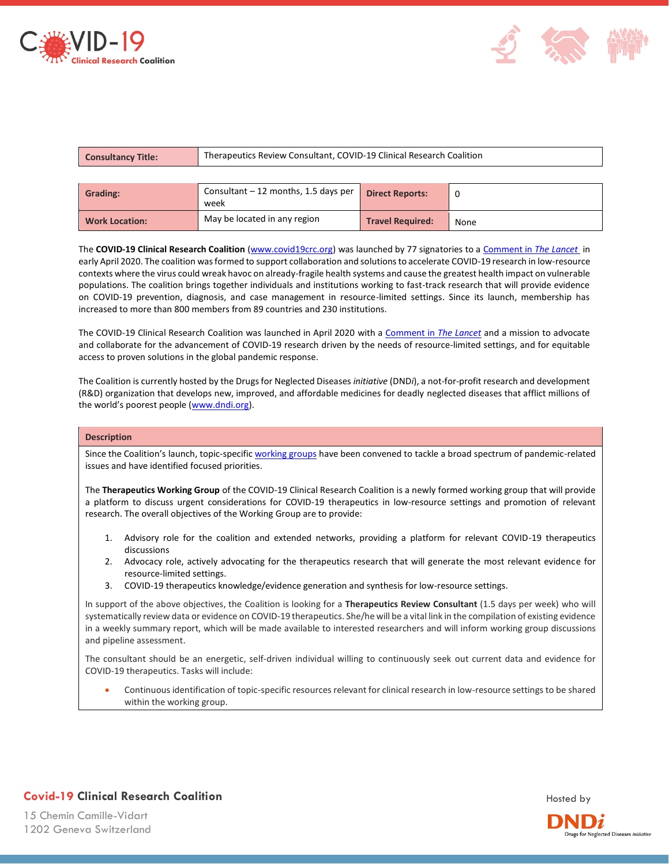



| <b>Consultancy Title:</b> | Therapeutics Review Consultant, COVID-19 Clinical Research Coalition |                         |      |
|---------------------------|----------------------------------------------------------------------|-------------------------|------|
|                           |                                                                      |                         |      |
| <b>Grading:</b>           | Consultant $-12$ months, 1.5 days per<br>week                        | <b>Direct Reports:</b>  |      |
| <b>Work Location:</b>     | May be located in any region                                         | <b>Travel Required:</b> | None |

The **COVID-19 Clinical Research Coalition** [\(www.covid19crc.org\)](http://www.covid19crc.org/) was launched by 77 signatories to [a Comment in](https://covid19crc.org/lancet-comment/) *The Lancet* in early April 2020. The coalition was formed to support collaboration and solutions to accelerate COVID-19 research in low-resource contexts where the virus could wreak havoc on already-fragile health systems and cause the greatest health impact on vulnerable populations. The coalition brings together individuals and institutions working to fast-track research that will provide evidence on COVID-19 prevention, diagnosis, and case management in resource-limited settings. Since its launch, membership has increased to more than 800 members from 89 countries and 230 institutions.

The COVID-19 Clinical Research Coalition was launched in April 2020 with a [Comment in](https://covid19crc.org/lancet-comment/) *The Lancet* and a mission to advocate and collaborate for the advancement of COVID-19 research driven by the needs of resource-limited settings, and for equitable access to proven solutions in the global pandemic response.

The Coalition is currently hosted by the Drugs for Neglected Diseases *initiative* (DND*i*), a not-for-profit research and development (R&D) organization that develops new, improved, and affordable medicines for deadly neglected diseases that afflict millions of the world's poorest people ([www.dndi.org\)](http://www.dndi.org/).

## **Description**

Since the Coalition's launch, topic-specifi[c working groups](https://covid19crc.org/working-groups/ethics-working-group/) have been convened to tackle a broad spectrum of pandemic-related issues and have identified focused priorities.

The **Therapeutics Working Group** of the COVID-19 Clinical Research Coalition is a newly formed working group that will provide a platform to discuss urgent considerations for COVID-19 therapeutics in low-resource settings and promotion of relevant research. The overall objectives of the Working Group are to provide:

- 1. Advisory role for the coalition and extended networks, providing a platform for relevant COVID-19 therapeutics discussions
- 2. Advocacy role, actively advocating for the therapeutics research that will generate the most relevant evidence for resource-limited settings.
- 3. COVID-19 therapeutics knowledge/evidence generation and synthesis for low-resource settings.

In support of the above objectives, the Coalition is looking for a **Therapeutics Review Consultant** (1.5 days per week) who will systematically review data or evidence on COVID-19 therapeutics. She/he will be a vital link in the compilation of existing evidence in a weekly summary report, which will be made available to interested researchers and will inform working group discussions and pipeline assessment.

The consultant should be an energetic, self-driven individual willing to continuously seek out current data and evidence for COVID-19 therapeutics. Tasks will include:

• Continuous identification of topic-specific resources relevant for clinical research in low-resource settings to be shared within the working group.



15 Chemin Camille-Vidart 1202 Geneva Switzerland